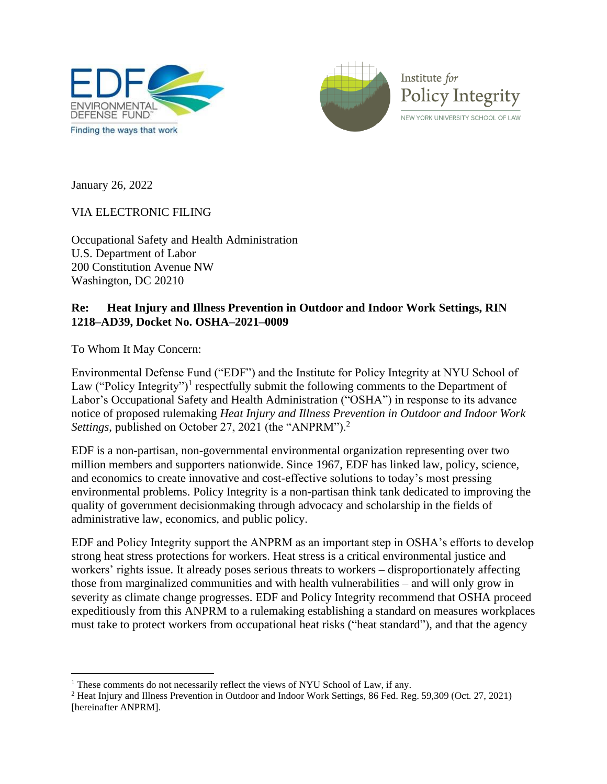



January 26, 2022

VIA ELECTRONIC FILING

Occupational Safety and Health Administration U.S. Department of Labor 200 Constitution Avenue NW Washington, DC 20210

### **Re: Heat Injury and Illness Prevention in Outdoor and Indoor Work Settings, RIN 1218–AD39, Docket No. OSHA–2021–0009**

To Whom It May Concern:

Environmental Defense Fund ("EDF") and the Institute for Policy Integrity at NYU School of Law ("Policy Integrity")<sup>1</sup> respectfully submit the following comments to the Department of Labor's Occupational Safety and Health Administration ("OSHA") in response to its advance notice of proposed rulemaking *Heat Injury and Illness Prevention in Outdoor and Indoor Work Settings*, published on October 27, 2021 (the "ANPRM").<sup>2</sup>

<span id="page-0-0"></span>EDF is a non-partisan, non-governmental environmental organization representing over two million members and supporters nationwide. Since 1967, EDF has linked law, policy, science, and economics to create innovative and cost-effective solutions to today's most pressing environmental problems. Policy Integrity is a non-partisan think tank dedicated to improving the quality of government decisionmaking through advocacy and scholarship in the fields of administrative law, economics, and public policy.

EDF and Policy Integrity support the ANPRM as an important step in OSHA's efforts to develop strong heat stress protections for workers. Heat stress is a critical environmental justice and workers' rights issue. It already poses serious threats to workers – disproportionately affecting those from marginalized communities and with health vulnerabilities – and will only grow in severity as climate change progresses. EDF and Policy Integrity recommend that OSHA proceed expeditiously from this ANPRM to a rulemaking establishing a standard on measures workplaces must take to protect workers from occupational heat risks ("heat standard"), and that the agency

<sup>&</sup>lt;sup>1</sup> These comments do not necessarily reflect the views of NYU School of Law, if any.

<sup>2</sup> Heat Injury and Illness Prevention in Outdoor and Indoor Work Settings, 86 Fed. Reg. 59,309 (Oct. 27, 2021) [hereinafter ANPRM].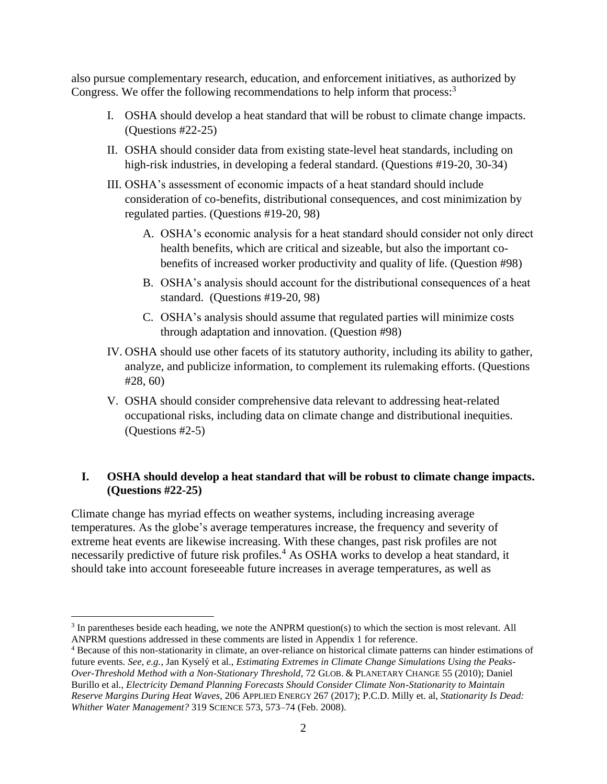also pursue complementary research, education, and enforcement initiatives, as authorized by Congress. We offer the following recommendations to help inform that process:<sup>3</sup>

- I. OSHA should develop a heat standard that will be robust to climate change impacts. (Questions #22-25)
- II. OSHA should consider data from existing state-level heat standards, including on high-risk industries, in developing a federal standard. (Questions #19-20, 30-34)
- III. OSHA's assessment of economic impacts of a heat standard should include consideration of co-benefits, distributional consequences, and cost minimization by regulated parties. (Questions #19-20, 98)
	- A. OSHA's economic analysis for a heat standard should consider not only direct health benefits, which are critical and sizeable, but also the important cobenefits of increased worker productivity and quality of life. (Question #98)
	- B. OSHA's analysis should account for the distributional consequences of a heat standard. (Questions #19-20, 98)
	- C. OSHA's analysis should assume that regulated parties will minimize costs through adaptation and innovation. (Question #98)
- IV. OSHA should use other facets of its statutory authority, including its ability to gather, analyze, and publicize information, to complement its rulemaking efforts. (Questions #28, 60)
- V. OSHA should consider comprehensive data relevant to addressing heat-related occupational risks, including data on climate change and distributional inequities. (Questions #2-5)

## **I. OSHA should develop a heat standard that will be robust to climate change impacts. (Questions #22-25)**

Climate change has myriad effects on weather systems, including increasing average temperatures. As the globe's average temperatures increase, the frequency and severity of extreme heat events are likewise increasing. With these changes, past risk profiles are not necessarily predictive of future risk profiles.<sup>4</sup> As OSHA works to develop a heat standard, it should take into account foreseeable future increases in average temperatures, as well as

<sup>&</sup>lt;sup>3</sup> In parentheses beside each heading, we note the ANPRM question(s) to which the section is most relevant. All ANPRM questions addressed in these comments are listed in Appendix 1 for reference.

<sup>4</sup> Because of this non-stationarity in climate, an over-reliance on historical climate patterns can hinder estimations of future events. *See, e.g.*, Jan Kyselý et al., *Estimating Extremes in Climate Change Simulations Using the Peaks-Over-Threshold Method with a Non-Stationary Threshold*, 72 GLOB. & PLANETARY CHANGE 55 (2010); Daniel Burillo et al., *Electricity Demand Planning Forecasts Should Consider Climate Non-Stationarity to Maintain Reserve Margins During Heat Waves*, 206 APPLIED ENERGY 267 (2017); P.C.D. Milly et. al, *Stationarity Is Dead: Whither Water Management?* 319 SCIENCE 573, 573–74 (Feb. 2008).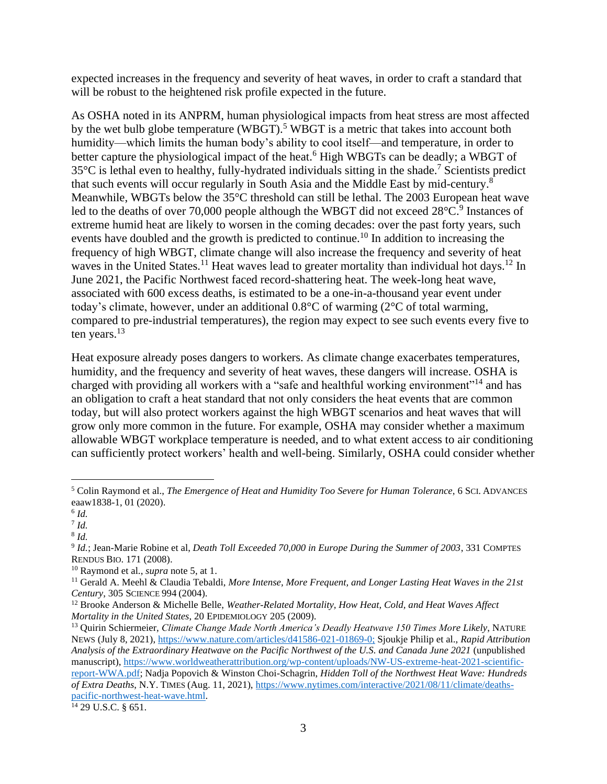expected increases in the frequency and severity of heat waves, in order to craft a standard that will be robust to the heightened risk profile expected in the future.

<span id="page-2-0"></span>As OSHA noted in its ANPRM, human physiological impacts from heat stress are most affected by the wet bulb globe temperature (WBGT).<sup>5</sup> WBGT is a metric that takes into account both humidity—which limits the human body's ability to cool itself—and temperature, in order to better capture the physiological impact of the heat.<sup>6</sup> High WBGTs can be deadly; a WBGT of  $35^{\circ}$ C is lethal even to healthy, fully-hydrated individuals sitting in the shade.<sup>7</sup> Scientists predict that such events will occur regularly in South Asia and the Middle East by mid-century.<sup>8</sup> Meanwhile, WBGTs below the 35°C threshold can still be lethal. The 2003 European heat wave led to the deaths of over 70,000 people although the WBGT did not exceed 28<sup>o</sup>C.<sup>9</sup> Instances of extreme humid heat are likely to worsen in the coming decades: over the past forty years, such events have doubled and the growth is predicted to continue.<sup>10</sup> In addition to increasing the frequency of high WBGT, climate change will also increase the frequency and severity of heat waves in the United States.<sup>11</sup> Heat waves lead to greater mortality than individual hot days.<sup>12</sup> In June 2021, the Pacific Northwest faced record-shattering heat. The week-long heat wave, associated with 600 excess deaths, is estimated to be a one-in-a-thousand year event under today's climate, however, under an additional 0.8°C of warming (2°C of total warming, compared to pre-industrial temperatures), the region may expect to see such events every five to ten years.<sup>13</sup>

Heat exposure already poses dangers to workers. As climate change exacerbates temperatures, humidity, and the frequency and severity of heat waves, these dangers will increase. OSHA is charged with providing all workers with a "safe and healthful working environment"<sup>14</sup> and has an obligation to craft a heat standard that not only considers the heat events that are common today, but will also protect workers against the high WBGT scenarios and heat waves that will grow only more common in the future. For example, OSHA may consider whether a maximum allowable WBGT workplace temperature is needed, and to what extent access to air conditioning can sufficiently protect workers' health and well-being. Similarly, OSHA could consider whether

<sup>5</sup> Colin Raymond et al., *The Emergence of Heat and Humidity Too Severe for Human Tolerance*, 6 SCI. ADVANCES eaaw1838-1, 01 (2020).

<sup>6</sup> *Id.*

<sup>7</sup> *Id.*

<sup>8</sup> *Id.*

<sup>9</sup> *Id.*; Jean-Marie Robine et al, *Death Toll Exceeded 70,000 in Europe During the Summer of 2003*, 331 COMPTES RENDUS BIO. 171 (2008).

<sup>10</sup> Raymond et al., *supra* note [5,](#page-2-0) at 1.

<sup>11</sup> Gerald A. Meehl & Claudia Tebaldi, *More Intense, More Frequent, and Longer Lasting Heat Waves in the 21st Century*, 305 SCIENCE 994 (2004).

<sup>12</sup> Brooke Anderson & Michelle Belle, *Weather-Related Mortality, How Heat, Cold, and Heat Waves Affect Mortality in the United States*, 20 EPIDEMIOLOGY 205 (2009).

<sup>&</sup>lt;sup>13</sup> Quirin Schiermeier, *Climate Change Made North America's Deadly Heatwave 150 Times More Likely*, NATURE NEWS (July 8, 2021), [https://www.nature.com/articles/d41586-021-01869-0;](https://www.nature.com/articles/d41586-021-01869-0) Sjoukje Philip et al., *Rapid Attribution Analysis of the Extraordinary Heatwave on the Pacific Northwest of the U.S. and Canada June 2021* (unpublished manuscript), [https://www.worldweatherattribution.org/wp-content/uploads/NW-US-extreme-heat-2021-scientific](https://www.worldweatherattribution.org/wp-content/uploads/NW-US-extreme-heat-2021-scientific-report-WWA.pdf)[report-WWA.pdf;](https://www.worldweatherattribution.org/wp-content/uploads/NW-US-extreme-heat-2021-scientific-report-WWA.pdf) Nadja Popovich & Winston Choi-Schagrin, *Hidden Toll of the Northwest Heat Wave: Hundreds of Extra Deaths*, N.Y. TIMES (Aug. 11, 2021), [https://www.nytimes.com/interactive/2021/08/11/climate/deaths](https://www.nytimes.com/interactive/2021/08/11/climate/deaths-pacific-northwest-heat-wave.html)[pacific-northwest-heat-wave.html.](https://www.nytimes.com/interactive/2021/08/11/climate/deaths-pacific-northwest-heat-wave.html)

 $14$  29 U.S.C. § 651.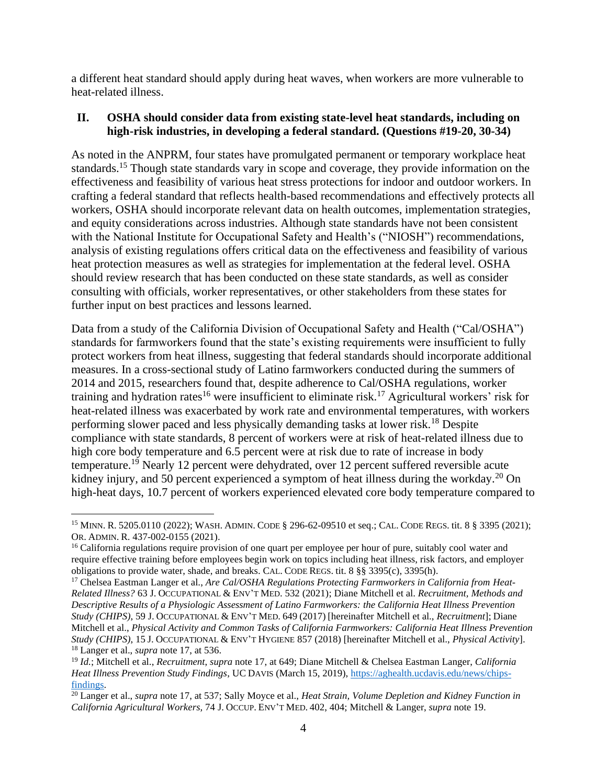a different heat standard should apply during heat waves, when workers are more vulnerable to heat-related illness.

#### **II. OSHA should consider data from existing state-level heat standards, including on high-risk industries, in developing a federal standard. (Questions #19-20, 30-34)**

As noted in the ANPRM, four states have promulgated permanent or temporary workplace heat standards.<sup>15</sup> Though state standards vary in scope and coverage, they provide information on the effectiveness and feasibility of various heat stress protections for indoor and outdoor workers. In crafting a federal standard that reflects health-based recommendations and effectively protects all workers, OSHA should incorporate relevant data on health outcomes, implementation strategies, and equity considerations across industries. Although state standards have not been consistent with the National Institute for Occupational Safety and Health's ("NIOSH") recommendations, analysis of existing regulations offers critical data on the effectiveness and feasibility of various heat protection measures as well as strategies for implementation at the federal level. OSHA should review research that has been conducted on these state standards, as well as consider consulting with officials, worker representatives, or other stakeholders from these states for further input on best practices and lessons learned.

<span id="page-3-0"></span>Data from a study of the California Division of Occupational Safety and Health ("Cal/OSHA") standards for farmworkers found that the state's existing requirements were insufficient to fully protect workers from heat illness, suggesting that federal standards should incorporate additional measures. In a cross-sectional study of Latino farmworkers conducted during the summers of 2014 and 2015, researchers found that, despite adherence to Cal/OSHA regulations, worker training and hydration rates<sup>16</sup> were insufficient to eliminate risk.<sup>17</sup> Agricultural workers' risk for heat-related illness was exacerbated by work rate and environmental temperatures, with workers performing slower paced and less physically demanding tasks at lower risk.<sup>18</sup> Despite compliance with state standards, 8 percent of workers were at risk of heat-related illness due to high core body temperature and 6.5 percent were at risk due to rate of increase in body temperature.<sup>19</sup> Nearly 12 percent were dehydrated, over 12 percent suffered reversible acute kidney injury, and 50 percent experienced a symptom of heat illness during the workday.<sup>20</sup> On high-heat days, 10.7 percent of workers experienced elevated core body temperature compared to

<span id="page-3-1"></span><sup>15</sup> MINN. R. 5205.0110 (2022); WASH. ADMIN. CODE § 296-62-09510 et seq.; CAL. CODE REGS. tit. 8 § 3395 (2021); OR. ADMIN. R. 437-002-0155 (2021).

<sup>&</sup>lt;sup>16</sup> California regulations require provision of one quart per employee per hour of pure, suitably cool water and require effective training before employees begin work on topics including heat illness, risk factors, and employer obligations to provide water, shade, and breaks. CAL. CODE REGS. tit. 8 §§ 3395(c), 3395(h).

<sup>&</sup>lt;sup>17</sup> Chelsea Eastman Langer et al., *Are Cal/OSHA Regulations Protecting Farmworkers in California from Heat-Related Illness?* 63 J. OCCUPATIONAL & ENV'T MED. 532 (2021); Diane Mitchell et al. *Recruitment, Methods and Descriptive Results of a Physiologic Assessment of Latino Farmworkers: the California Heat Illness Prevention Study (CHIPS)*, 59 J. OCCUPATIONAL & ENV'T MED. 649 (2017) [hereinafter Mitchell et al., *Recruitment*]; Diane Mitchell et al., *Physical Activity and Common Tasks of California Farmworkers: California Heat Illness Prevention Study (CHIPS)*, 15 J. OCCUPATIONAL & ENV'T HYGIENE 857 (2018) [hereinafter Mitchell et al., *Physical Activity*]. <sup>18</sup> Langer et al., *supra* note [17,](#page-3-0) at 536.

<sup>19</sup> *Id.*; Mitchell et al., *Recruitment*, *supra* note [17,](#page-3-0) at 649; Diane Mitchell & Chelsea Eastman Langer, *California Heat Illness Prevention Study Findings*, UC DAVIS (March 15, 2019)[, https://aghealth.ucdavis.edu/news/chips](https://aghealth.ucdavis.edu/news/chips-findings)[findings.](https://aghealth.ucdavis.edu/news/chips-findings)

<sup>20</sup> Langer et al., *supra* note [17,](#page-3-0) at 537; Sally Moyce et al., *Heat Strain, Volume Depletion and Kidney Function in California Agricultural Workers,* 74 J. OCCUP. ENV'T MED. 402, 404; Mitchell & Langer, *supra* note [19.](#page-3-1)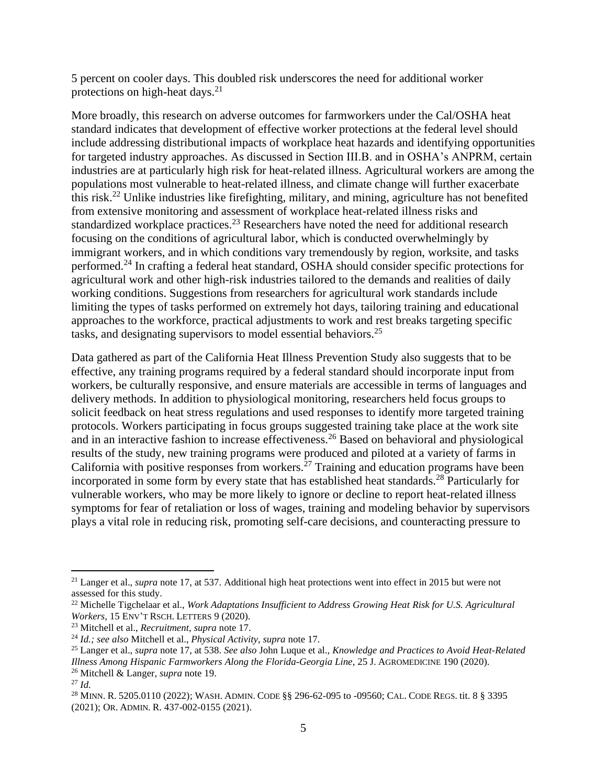5 percent on cooler days. This doubled risk underscores the need for additional worker protections on high-heat days. $^{21}$ 

More broadly, this research on adverse outcomes for farmworkers under the Cal/OSHA heat standard indicates that development of effective worker protections at the federal level should include addressing distributional impacts of workplace heat hazards and identifying opportunities for targeted industry approaches. As discussed in Section III.B. and in OSHA's ANPRM, certain industries are at particularly high risk for heat-related illness. Agricultural workers are among the populations most vulnerable to heat-related illness, and climate change will further exacerbate this risk.<sup>22</sup> Unlike industries like firefighting, military, and mining, agriculture has not benefited from extensive monitoring and assessment of workplace heat-related illness risks and standardized workplace practices.<sup>23</sup> Researchers have noted the need for additional research focusing on the conditions of agricultural labor, which is conducted overwhelmingly by immigrant workers, and in which conditions vary tremendously by region, worksite, and tasks performed.<sup>24</sup> In crafting a federal heat standard, OSHA should consider specific protections for agricultural work and other high-risk industries tailored to the demands and realities of daily working conditions. Suggestions from researchers for agricultural work standards include limiting the types of tasks performed on extremely hot days, tailoring training and educational approaches to the workforce, practical adjustments to work and rest breaks targeting specific tasks, and designating supervisors to model essential behaviors.<sup>25</sup>

Data gathered as part of the California Heat Illness Prevention Study also suggests that to be effective, any training programs required by a federal standard should incorporate input from workers, be culturally responsive, and ensure materials are accessible in terms of languages and delivery methods. In addition to physiological monitoring, researchers held focus groups to solicit feedback on heat stress regulations and used responses to identify more targeted training protocols. Workers participating in focus groups suggested training take place at the work site and in an interactive fashion to increase effectiveness.<sup>26</sup> Based on behavioral and physiological results of the study, new training programs were produced and piloted at a variety of farms in California with positive responses from workers.<sup>27</sup> Training and education programs have been incorporated in some form by every state that has established heat standards.<sup>28</sup> Particularly for vulnerable workers, who may be more likely to ignore or decline to report heat-related illness symptoms for fear of retaliation or loss of wages, training and modeling behavior by supervisors plays a vital role in reducing risk, promoting self-care decisions, and counteracting pressure to

<sup>&</sup>lt;sup>21</sup> Langer et al., *supra* note [17,](#page-3-0) at 537. Additional high heat protections went into effect in 2015 but were not assessed for this study.

<sup>&</sup>lt;sup>22</sup> Michelle Tigchelaar et al., *Work Adaptations Insufficient to Address Growing Heat Risk for U.S. Agricultural Workers*, 15 ENV'T RSCH. LETTERS 9 (2020).

<sup>23</sup> Mitchell et al., *Recruitment*, *supra* not[e 17.](#page-3-0)

<sup>24</sup> *Id.; see also* Mitchell et al., *Physical Activity*, *supra* note [17.](#page-3-0)

<sup>25</sup> Langer et al., *supra* note [17,](#page-3-0) at 538. *See also* John Luque et al., *Knowledge and Practices to Avoid Heat-Related Illness Among Hispanic Farmworkers Along the Florida-Georgia Line*, 25 J. AGROMEDICINE 190 (2020). <sup>26</sup> Mitchell & Langer, *supra* note [19.](#page-3-1)

<sup>27</sup> *Id.*

<sup>28</sup> MINN. R. 5205.0110 (2022); WASH. ADMIN. CODE §§ 296-62-095 to -09560; CAL. CODE REGS. tit. 8 § 3395 (2021); OR. ADMIN. R. 437-002-0155 (2021).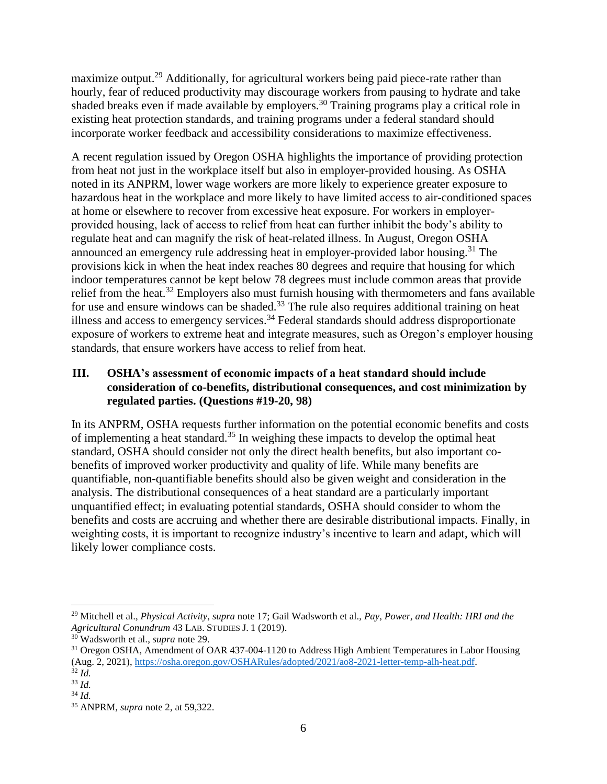<span id="page-5-0"></span>maximize output.<sup>29</sup> Additionally, for agricultural workers being paid piece-rate rather than hourly, fear of reduced productivity may discourage workers from pausing to hydrate and take shaded breaks even if made available by employers.<sup>30</sup> Training programs play a critical role in existing heat protection standards, and training programs under a federal standard should incorporate worker feedback and accessibility considerations to maximize effectiveness.

A recent regulation issued by Oregon OSHA highlights the importance of providing protection from heat not just in the workplace itself but also in employer-provided housing. As OSHA noted in its ANPRM, lower wage workers are more likely to experience greater exposure to hazardous heat in the workplace and more likely to have limited access to air-conditioned spaces at home or elsewhere to recover from excessive heat exposure. For workers in employerprovided housing, lack of access to relief from heat can further inhibit the body's ability to regulate heat and can magnify the risk of heat-related illness. In August, Oregon OSHA announced an emergency rule addressing heat in employer-provided labor housing.<sup>31</sup> The provisions kick in when the heat index reaches 80 degrees and require that housing for which indoor temperatures cannot be kept below 78 degrees must include common areas that provide relief from the heat.<sup>32</sup> Employers also must furnish housing with thermometers and fans available for use and ensure windows can be shaded.<sup>33</sup> The rule also requires additional training on heat illness and access to emergency services.<sup>34</sup> Federal standards should address disproportionate exposure of workers to extreme heat and integrate measures, such as Oregon's employer housing standards, that ensure workers have access to relief from heat.

### **III. OSHA's assessment of economic impacts of a heat standard should include consideration of co-benefits, distributional consequences, and cost minimization by regulated parties. (Questions #19-20, 98)**

In its ANPRM, OSHA requests further information on the potential economic benefits and costs of implementing a heat standard.<sup>35</sup> In weighing these impacts to develop the optimal heat standard, OSHA should consider not only the direct health benefits, but also important cobenefits of improved worker productivity and quality of life. While many benefits are quantifiable, non-quantifiable benefits should also be given weight and consideration in the analysis. The distributional consequences of a heat standard are a particularly important unquantified effect; in evaluating potential standards, OSHA should consider to whom the benefits and costs are accruing and whether there are desirable distributional impacts. Finally, in weighting costs, it is important to recognize industry's incentive to learn and adapt, which will likely lower compliance costs.

<sup>29</sup> Mitchell et al., *Physical Activity*, *supra* note [17;](#page-3-0) Gail Wadsworth et al., *Pay, Power, and Health: HRI and the Agricultural Conundrum* 43 LAB. STUDIES J. 1 (2019).

<sup>30</sup> Wadsworth et al., *supra* note [29.](#page-5-0)

<sup>&</sup>lt;sup>31</sup> Oregon OSHA, Amendment of OAR 437-004-1120 to Address High Ambient Temperatures in Labor Housing (Aug. 2, 2021), [https://osha.oregon.gov/OSHARules/adopted/2021/ao8-2021-letter-temp-alh-heat.pdf.](https://osha.oregon.gov/OSHARules/adopted/2021/ao8-2021-letter-temp-alh-heat.pdf)  $32$  *Id.* 

<sup>33</sup> *Id.*

<sup>34</sup> *Id.* 

<sup>35</sup> ANPRM, *supra* note [2,](#page-0-0) at 59,322.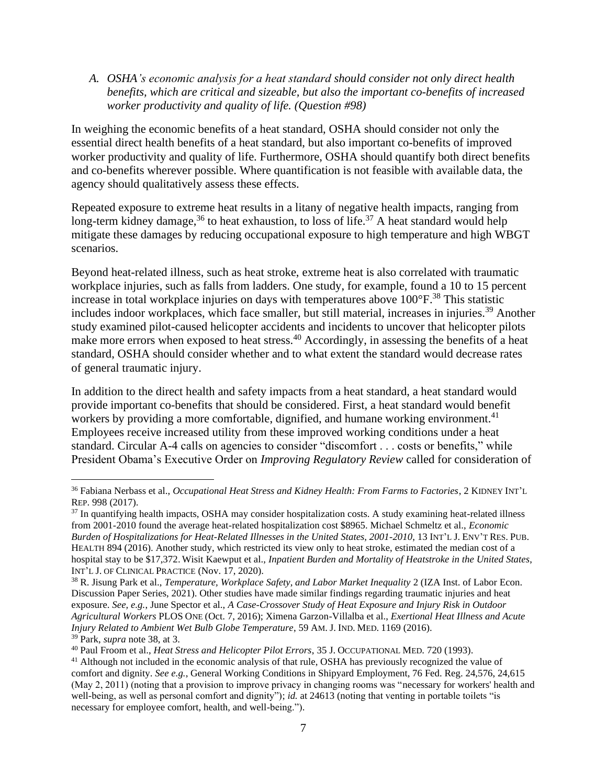*A. OSHA's economic analysis for a heat standard should consider not only direct health benefits, which are critical and sizeable, but also the important co-benefits of increased worker productivity and quality of life. (Question #98)*

In weighing the economic benefits of a heat standard, OSHA should consider not only the essential direct health benefits of a heat standard, but also important co-benefits of improved worker productivity and quality of life. Furthermore, OSHA should quantify both direct benefits and co-benefits wherever possible. Where quantification is not feasible with available data, the agency should qualitatively assess these effects.

Repeated exposure to extreme heat results in a litany of negative health impacts, ranging from long-term kidney damage,  $36$  to heat exhaustion, to loss of life.  $37$  A heat standard would help mitigate these damages by reducing occupational exposure to high temperature and high WBGT scenarios.

<span id="page-6-0"></span>Beyond heat-related illness, such as heat stroke, extreme heat is also correlated with traumatic workplace injuries, such as falls from ladders. One study, for example, found a 10 to 15 percent increase in total workplace injuries on days with temperatures above 100°F. <sup>38</sup> This statistic includes indoor workplaces, which face smaller, but still material, increases in injuries.<sup>39</sup> Another study examined pilot-caused helicopter accidents and incidents to uncover that helicopter pilots make more errors when exposed to heat stress.<sup>40</sup> Accordingly, in assessing the benefits of a heat standard, OSHA should consider whether and to what extent the standard would decrease rates of general traumatic injury.

In addition to the direct health and safety impacts from a heat standard, a heat standard would provide important co-benefits that should be considered. First, a heat standard would benefit workers by providing a more comfortable, dignified, and humane working environment.<sup>41</sup> Employees receive increased utility from these improved working conditions under a heat standard. Circular A-4 calls on agencies to consider "discomfort . . . costs or benefits," while President Obama's Executive Order on *Improving Regulatory Review* called for consideration of

<sup>36</sup> Fabiana Nerbass et al., *Occupational Heat Stress and Kidney Health: From Farms to Factories*, 2 KIDNEY INT'L REP. 998 (2017).

<sup>&</sup>lt;sup>37</sup> In quantifying health impacts, OSHA may consider hospitalization costs. A study examining heat-related illness from 2001-2010 found the average heat-related hospitalization cost \$8965. Michael Schmeltz et al., *Economic Burden of Hospitalizations for Heat-Related Illnesses in the United States, 2001-2010*, 13 INT'L J. ENV'T RES. PUB. HEALTH 894 (2016). Another study, which restricted its view only to heat stroke, estimated the median cost of a hospital stay to be \$17,372. Wisit Kaewput et al., *Inpatient Burden and Mortality of Heatstroke in the United States*, INT'L J. OF CLINICAL PRACTICE (Nov. 17, 2020).

<sup>38</sup> R. Jisung Park et al., *Temperature, Workplace Safety, and Labor Market Inequality* 2 (IZA Inst. of Labor Econ. Discussion Paper Series, 2021). Other studies have made similar findings regarding traumatic injuries and heat exposure. *See, e.g.*, June Spector et al., *A Case-Crossover Study of Heat Exposure and Injury Risk in Outdoor Agricultural Workers* PLOS ONE (Oct. 7, 2016); Ximena Garzon-Villalba et al., *Exertional Heat Illness and Acute Injury Related to Ambient Wet Bulb Globe Temperature*, 59 AM. J. IND. MED. 1169 (2016). <sup>39</sup> Park, *supra* note [38,](#page-6-0) at 3.

<sup>40</sup> Paul Froom et al., *Heat Stress and Helicopter Pilot Errors*, 35 J. OCCUPATIONAL MED. 720 (1993).

<sup>&</sup>lt;sup>41</sup> Although not included in the economic analysis of that rule, OSHA has previously recognized the value of comfort and dignity. *See e.g.*, General Working Conditions in Shipyard Employment, 76 Fed. Reg. 24,576, 24,615 (May 2, 2011) (noting that a provision to improve privacy in changing rooms was "necessary for workers' health and well-being, as well as personal comfort and dignity"); *id.* at 24613 (noting that venting in portable toilets "is necessary for employee comfort, health, and well-being.").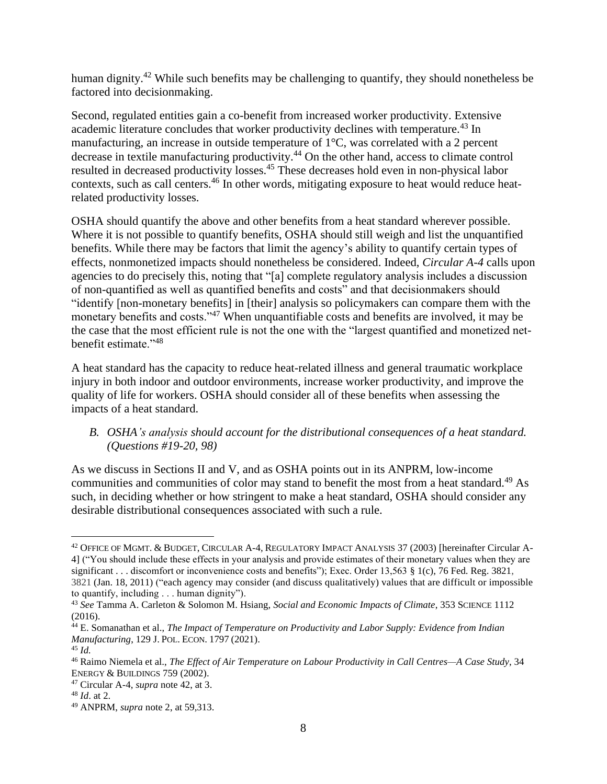<span id="page-7-0"></span>human dignity.<sup>42</sup> While such benefits may be challenging to quantify, they should nonetheless be factored into decisionmaking.

Second, regulated entities gain a co-benefit from increased worker productivity. Extensive academic literature concludes that worker productivity declines with temperature.<sup>43</sup> In manufacturing, an increase in outside temperature of 1°C, was correlated with a 2 percent decrease in textile manufacturing productivity.<sup>44</sup> On the other hand, access to climate control resulted in decreased productivity losses.<sup>45</sup> These decreases hold even in non-physical labor contexts, such as call centers.<sup>46</sup> In other words, mitigating exposure to heat would reduce heatrelated productivity losses.

OSHA should quantify the above and other benefits from a heat standard wherever possible. Where it is not possible to quantify benefits, OSHA should still weigh and list the unquantified benefits. While there may be factors that limit the agency's ability to quantify certain types of effects, nonmonetized impacts should nonetheless be considered. Indeed, *Circular A-4* calls upon agencies to do precisely this, noting that "[a] complete regulatory analysis includes a discussion of non-quantified as well as quantified benefits and costs" and that decisionmakers should "identify [non-monetary benefits] in [their] analysis so policymakers can compare them with the monetary benefits and costs."<sup>47</sup> When unquantifiable costs and benefits are involved, it may be the case that the most efficient rule is not the one with the "largest quantified and monetized netbenefit estimate."<sup>48</sup>

A heat standard has the capacity to reduce heat-related illness and general traumatic workplace injury in both indoor and outdoor environments, increase worker productivity, and improve the quality of life for workers. OSHA should consider all of these benefits when assessing the impacts of a heat standard.

### *B. OSHA's analysis should account for the distributional consequences of a heat standard. (Questions #19-20, 98)*

As we discuss in Sections II and V, and as OSHA points out in its ANPRM, low-income communities and communities of color may stand to benefit the most from a heat standard.<sup>49</sup> As such, in deciding whether or how stringent to make a heat standard, OSHA should consider any desirable distributional consequences associated with such a rule.

<sup>42</sup> OFFICE OF MGMT. & BUDGET, CIRCULAR A-4, REGULATORY IMPACT ANALYSIS 37 (2003) [hereinafter Circular A-4] ("You should include these effects in your analysis and provide estimates of their monetary values when they are significant . . . discomfort or inconvenience costs and benefits"); Exec. Order 13,563 § 1(c), 76 Fed. Reg. 3821, 3821 (Jan. 18, 2011) ("each agency may consider (and discuss qualitatively) values that are difficult or impossible to quantify, including . . . human dignity").

<sup>43</sup> *See* Tamma A. Carleton & Solomon M. Hsiang, *Social and Economic Impacts of Climate*, 353 SCIENCE 1112 (2016).

<sup>&</sup>lt;sup>44</sup> E. Somanathan et al., *The Impact of Temperature on Productivity and Labor Supply: Evidence from Indian Manufacturing*, 129 J. POL. ECON. 1797 (2021).

<sup>45</sup> *Id.*

<sup>46</sup> Raimo Niemela et al., *The Effect of Air Temperature on Labour Productivity in Call Centres—A Case Study*, 34 ENERGY & BUILDINGS 759 (2002).

<sup>47</sup> Circular A-4, *supra* note [42,](#page-7-0) at 3.

<sup>48</sup> *Id*. at 2.

<sup>49</sup> ANPRM, *supra* not[e 2,](#page-0-0) at 59,313.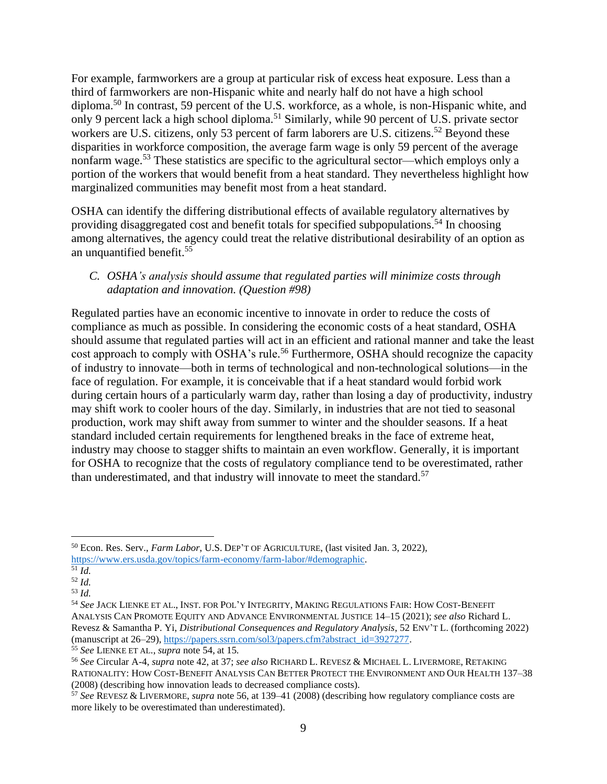For example, farmworkers are a group at particular risk of excess heat exposure. Less than a third of farmworkers are non-Hispanic white and nearly half do not have a high school diploma.<sup>50</sup> In contrast, 59 percent of the U.S. workforce, as a whole, is non-Hispanic white, and only 9 percent lack a high school diploma.<sup>51</sup> Similarly, while 90 percent of U.S. private sector workers are U.S. citizens, only 53 percent of farm laborers are U.S. citizens.<sup>52</sup> Beyond these disparities in workforce composition, the average farm wage is only 59 percent of the average nonfarm wage.<sup>53</sup> These statistics are specific to the agricultural sector—which employs only a portion of the workers that would benefit from a heat standard. They nevertheless highlight how marginalized communities may benefit most from a heat standard.

OSHA can identify the differing distributional effects of available regulatory alternatives by providing disaggregated cost and benefit totals for specified subpopulations.<sup>54</sup> In choosing among alternatives, the agency could treat the relative distributional desirability of an option as an unquantified benefit.<sup>55</sup>

#### <span id="page-8-1"></span><span id="page-8-0"></span>*C. OSHA's analysis should assume that regulated parties will minimize costs through adaptation and innovation. (Question #98)*

Regulated parties have an economic incentive to innovate in order to reduce the costs of compliance as much as possible. In considering the economic costs of a heat standard, OSHA should assume that regulated parties will act in an efficient and rational manner and take the least cost approach to comply with OSHA's rule.<sup>56</sup> Furthermore, OSHA should recognize the capacity of industry to innovate—both in terms of technological and non-technological solutions—in the face of regulation. For example, it is conceivable that if a heat standard would forbid work during certain hours of a particularly warm day, rather than losing a day of productivity, industry may shift work to cooler hours of the day. Similarly, in industries that are not tied to seasonal production, work may shift away from summer to winter and the shoulder seasons. If a heat standard included certain requirements for lengthened breaks in the face of extreme heat, industry may choose to stagger shifts to maintain an even workflow. Generally, it is important for OSHA to recognize that the costs of regulatory compliance tend to be overestimated, rather than underestimated, and that industry will innovate to meet the standard.<sup>57</sup>

<sup>55</sup> *See* LIENKE ET AL., *supra* note [54,](#page-8-0) at 15*.*

<sup>50</sup> Econ. Res. Serv., *Farm Labor*, U.S. DEP'T OF AGRICULTURE, (last visited Jan. 3, 2022), [https://www.ers.usda.gov/topics/farm-economy/farm-labor/#demographic.](https://www.ers.usda.gov/topics/farm-economy/farm-labor/#demographic)

<sup>51</sup> *Id.*

<sup>52</sup> *Id.*

<sup>53</sup> *Id.*

<sup>54</sup> *See* JACK LIENKE ET AL., INST. FOR POL'Y INTEGRITY, MAKING REGULATIONS FAIR: HOW COST-BENEFIT ANALYSIS CAN PROMOTE EQUITY AND ADVANCE ENVIRONMENTAL JUSTICE 14–15 (2021); *see also* Richard L. Revesz & Samantha P. Yi, *Distributional Consequences and Regulatory Analysis*, 52 ENV'T L. (forthcoming 2022) (manuscript at 26–29), [https://papers.ssrn.com/sol3/papers.cfm?abstract\\_id=3927277.](https://papers.ssrn.com/sol3/papers.cfm?abstract_id=3927277)

<sup>56</sup> *See* Circular A-4, *supra* note [42,](#page-7-0) at 37; *see also* RICHARD L. REVESZ & MICHAEL L. LIVERMORE, RETAKING RATIONALITY: HOW COST-BENEFIT ANALYSIS CAN BETTER PROTECT THE ENVIRONMENT AND OUR HEALTH 137–38 (2008) (describing how innovation leads to decreased compliance costs).

<sup>57</sup> *See* REVESZ & LIVERMORE, *supra* not[e 56,](#page-8-1) at 139–41 (2008) (describing how regulatory compliance costs are more likely to be overestimated than underestimated).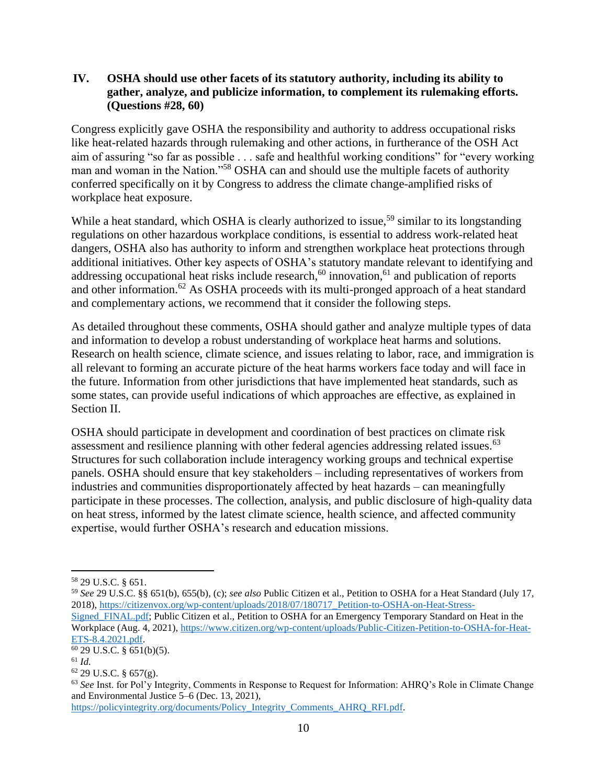#### **IV. OSHA should use other facets of its statutory authority, including its ability to gather, analyze, and publicize information, to complement its rulemaking efforts. (Questions #28, 60)**

Congress explicitly gave OSHA the responsibility and authority to address occupational risks like heat-related hazards through rulemaking and other actions, in furtherance of the OSH Act aim of assuring "so far as possible . . . safe and healthful working conditions" for "every working man and woman in the Nation."<sup>58</sup> OSHA can and should use the multiple facets of authority conferred specifically on it by Congress to address the climate change-amplified risks of workplace heat exposure.

While a heat standard, which OSHA is clearly authorized to issue,<sup>59</sup> similar to its longstanding regulations on other hazardous workplace conditions, is essential to address work-related heat dangers, OSHA also has authority to inform and strengthen workplace heat protections through additional initiatives. Other key aspects of OSHA's statutory mandate relevant to identifying and addressing occupational heat risks include research,<sup>60</sup> innovation,<sup>61</sup> and publication of reports and other information.<sup>62</sup> As OSHA proceeds with its multi-pronged approach of a heat standard and complementary actions, we recommend that it consider the following steps.

As detailed throughout these comments, OSHA should gather and analyze multiple types of data and information to develop a robust understanding of workplace heat harms and solutions. Research on health science, climate science, and issues relating to labor, race, and immigration is all relevant to forming an accurate picture of the heat harms workers face today and will face in the future. Information from other jurisdictions that have implemented heat standards, such as some states, can provide useful indications of which approaches are effective, as explained in Section II.

OSHA should participate in development and coordination of best practices on climate risk assessment and resilience planning with other federal agencies addressing related issues.<sup>63</sup> Structures for such collaboration include interagency working groups and technical expertise panels. OSHA should ensure that key stakeholders – including representatives of workers from industries and communities disproportionately affected by heat hazards – can meaningfully participate in these processes. The collection, analysis, and public disclosure of high-quality data on heat stress, informed by the latest climate science, health science, and affected community expertise, would further OSHA's research and education missions.

<sup>58</sup> 29 U.S.C. § 651.

<sup>59</sup> *See* 29 U.S.C. §§ 651(b), 655(b), (c); *see also* Public Citizen et al., Petition to OSHA for a Heat Standard (July 17, 2018), [https://citizenvox.org/wp-content/uploads/2018/07/180717\\_Petition-to-OSHA-on-Heat-Stress-](https://citizenvox.org/wp-content/uploads/2018/07/180717_Petition-to-OSHA-on-Heat-Stress-Signed_FINAL.pdf)

[Signed\\_FINAL.pdf;](https://citizenvox.org/wp-content/uploads/2018/07/180717_Petition-to-OSHA-on-Heat-Stress-Signed_FINAL.pdf) Public Citizen et al., Petition to OSHA for an Emergency Temporary Standard on Heat in the Workplace (Aug. 4, 2021), [https://www.citizen.org/wp-content/uploads/Public-Citizen-Petition-to-OSHA-for-Heat-](https://www.citizen.org/wp-content/uploads/Public-Citizen-Petition-to-OSHA-for-Heat-ETS-8.4.2021.pdf)[ETS-8.4.2021.pdf.](https://www.citizen.org/wp-content/uploads/Public-Citizen-Petition-to-OSHA-for-Heat-ETS-8.4.2021.pdf)

 $\overline{60}$  29 U.S.C. § 651(b)(5).

<sup>61</sup> *Id.*

 $62$  29 U.S.C. § 657(g).

<sup>63</sup> *See* Inst. for Pol'y Integrity, Comments in Response to Request for Information: AHRQ's Role in Climate Change and Environmental Justice 5–6 (Dec. 13, 2021),

[https://policyintegrity.org/documents/Policy\\_Integrity\\_Comments\\_AHRQ\\_RFI.pdf.](https://policyintegrity.org/documents/Policy_Integrity_Comments_AHRQ_RFI.pdf)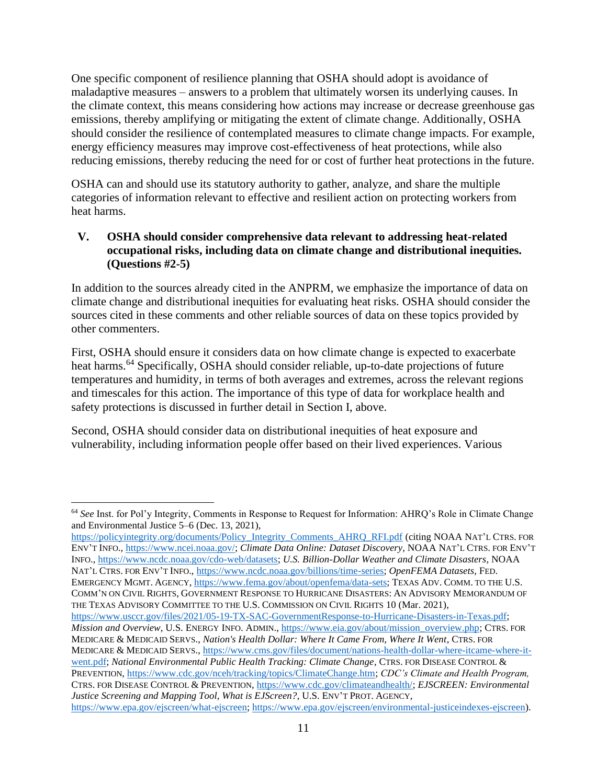One specific component of resilience planning that OSHA should adopt is avoidance of maladaptive measures – answers to a problem that ultimately worsen its underlying causes. In the climate context, this means considering how actions may increase or decrease greenhouse gas emissions, thereby amplifying or mitigating the extent of climate change. Additionally, OSHA should consider the resilience of contemplated measures to climate change impacts. For example, energy efficiency measures may improve cost-effectiveness of heat protections, while also reducing emissions, thereby reducing the need for or cost of further heat protections in the future.

OSHA can and should use its statutory authority to gather, analyze, and share the multiple categories of information relevant to effective and resilient action on protecting workers from heat harms.

### **V. OSHA should consider comprehensive data relevant to addressing heat-related occupational risks, including data on climate change and distributional inequities. (Questions #2-5)**

In addition to the sources already cited in the ANPRM, we emphasize the importance of data on climate change and distributional inequities for evaluating heat risks. OSHA should consider the sources cited in these comments and other reliable sources of data on these topics provided by other commenters.

<span id="page-10-0"></span>First, OSHA should ensure it considers data on how climate change is expected to exacerbate heat harms.<sup>64</sup> Specifically, OSHA should consider reliable, up-to-date projections of future temperatures and humidity, in terms of both averages and extremes, across the relevant regions and timescales for this action. The importance of this type of data for workplace health and safety protections is discussed in further detail in Section I, above.

Second, OSHA should consider data on distributional inequities of heat exposure and vulnerability, including information people offer based on their lived experiences. Various

MEDICARE & MEDICAID SERVS.[, https://www.cms.gov/files/document/nations-health-dollar-where-itcame-where-it](https://www.cms.gov/files/document/nations-health-dollar-where-itcame-where-it-went.pdf)[went.pdf;](https://www.cms.gov/files/document/nations-health-dollar-where-itcame-where-it-went.pdf) *National Environmental Public Health Tracking: Climate Change*, CTRS. FOR DISEASE CONTROL & PREVENTION, [https://www.cdc.gov/nceh/tracking/topics/ClimateChange.htm;](https://www.cdc.gov/nceh/tracking/topics/ClimateChange.htm) *CDC's Climate and Health Program,*

CTRS. FOR DISEASE CONTROL & PREVENTION, [https://www.cdc.gov/climateandhealth/;](https://www.cdc.gov/climateandhealth/) *EJSCREEN: Environmental Justice Screening and Mapping Tool, What is EJScreen?*, U.S. ENV'T PROT. AGENCY,

[https://www.epa.gov/ejscreen/what-ejscreen;](https://www.epa.gov/ejscreen/what-ejscreen) [https://www.epa.gov/ejscreen/environmental-justiceindexes-ejscreen\)](https://www.epa.gov/ejscreen/environmental-justiceindexes-ejscreen).

<sup>64</sup> *See* Inst. for Pol'y Integrity, Comments in Response to Request for Information: AHRQ's Role in Climate Change and Environmental Justice 5–6 (Dec. 13, 2021),

[https://policyintegrity.org/documents/Policy\\_Integrity\\_Comments\\_AHRQ\\_RFI.pdf](https://policyintegrity.org/documents/Policy_Integrity_Comments_AHRQ_RFI.pdf) (citing NOAA NAT'L CTRS. FOR ENV'T INFO.[, https://www.ncei.noaa.gov/;](https://www.ncei.noaa.gov/) *Climate Data Online: Dataset Discovery*, NOAA NAT'L CTRS. FOR ENV'T INFO., [https://www.ncdc.noaa.gov/cdo-web/datasets;](https://www.ncdc.noaa.gov/cdo-web/datasets) *U.S. Billion-Dollar Weather and Climate Disasters*, NOAA NAT'L CTRS. FOR ENV'T INFO., [https://www.ncdc.noaa.gov/billions/time-series;](https://www.ncdc.noaa.gov/billions/time-series) *OpenFEMA Datasets*, FED. EMERGENCY MGMT. AGENCY, [https://www.fema.gov/about/openfema/data-sets;](https://www.fema.gov/about/openfema/data-sets) TEXAS ADV. COMM. TO THE U.S.

COMM'N ON CIVIL RIGHTS, GOVERNMENT RESPONSE TO HURRICANE DISASTERS: AN ADVISORY MEMORANDUM OF THE TEXAS ADVISORY COMMITTEE TO THE U.S. COMMISSION ON CIVIL RIGHTS 10 (Mar. 2021),

[https://www.usccr.gov/files/2021/05-19-TX-SAC-GovernmentResponse-to-Hurricane-Disasters-in-Texas.pdf;](https://www.usccr.gov/files/2021/05-19-TX-SAC-GovernmentResponse-to-Hurricane-Disasters-in-Texas.pdf) *Mission and Overview*, U.S. ENERGY INFO. ADMIN., [https://www.eia.gov/about/mission\\_overview.php;](https://www.eia.gov/about/mission_overview.php) CTRS. FOR MEDICARE & MEDICAID SERVS., *Nation's Health Dollar: Where It Came From, Where It Went*, CTRS. FOR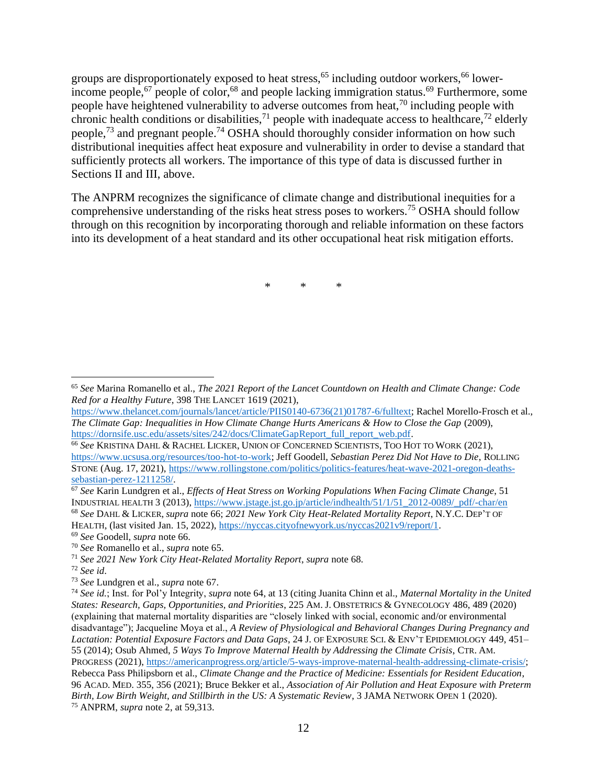<span id="page-11-3"></span><span id="page-11-2"></span>groups are disproportionately exposed to heat stress,<sup>65</sup> including outdoor workers,<sup>66</sup> lowerincome people,<sup>67</sup> people of color,<sup>68</sup> and people lacking immigration status.<sup>69</sup> Furthermore, some people have heightened vulnerability to adverse outcomes from heat,<sup>70</sup> including people with chronic health conditions or disabilities,<sup>71</sup> people with inadequate access to healthcare,<sup>72</sup> elderly people,<sup>73</sup> and pregnant people.<sup>74</sup> OSHA should thoroughly consider information on how such distributional inequities affect heat exposure and vulnerability in order to devise a standard that sufficiently protects all workers. The importance of this type of data is discussed further in Sections II and III, above.

The ANPRM recognizes the significance of climate change and distributional inequities for a comprehensive understanding of the risks heat stress poses to workers.<sup>75</sup> OSHA should follow through on this recognition by incorporating thorough and reliable information on these factors into its development of a heat standard and its other occupational heat risk mitigation efforts.

<span id="page-11-1"></span><span id="page-11-0"></span>\* \* \*

<sup>65</sup> *See* Marina Romanello et al., *The 2021 Report of the Lancet Countdown on Health and Climate Change: Code Red for a Healthy Future*, 398 THE LANCET 1619 (2021),

[https://www.thelancet.com/journals/lancet/article/PIIS0140-6736\(21\)01787-6/fulltext;](https://www.thelancet.com/journals/lancet/article/PIIS0140-6736(21)01787-6/fulltext) Rachel Morello-Frosch et al., *The Climate Gap: Inequalities in How Climate Change Hurts Americans & How to Close the Gap* (2009), [https://dornsife.usc.edu/assets/sites/242/docs/ClimateGapReport\\_full\\_report\\_web.pdf.](https://dornsife.usc.edu/assets/sites/242/docs/ClimateGapReport_full_report_web.pdf)

<sup>66</sup> *See* KRISTINA DAHL & RACHEL LICKER, UNION OF CONCERNED SCIENTISTS, TOO HOT TO WORK (2021), [https://www.ucsusa.org/resources/too-hot-to-work;](https://www.ucsusa.org/resources/too-hot-to-work) Jeff Goodell, *Sebastian Perez Did Not Have to Die*, ROLLING STONE (Aug. 17, 2021), [https://www.rollingstone.com/politics/politics-features/heat-wave-2021-oregon-deaths](https://www.rollingstone.com/politics/politics-features/heat-wave-2021-oregon-deaths-sebastian-perez-1211258/)[sebastian-perez-1211258/.](https://www.rollingstone.com/politics/politics-features/heat-wave-2021-oregon-deaths-sebastian-perez-1211258/)

<sup>67</sup> *See* Karin Lundgren et al., *Effects of Heat Stress on Working Populations When Facing Climate Change*, 51 INDUSTRIAL HEALTH 3 (2013), [https://www.jstage.jst.go.jp/article/indhealth/51/1/51\\_2012-0089/\\_pdf/-char/en](https://www.jstage.jst.go.jp/article/indhealth/51/1/51_2012-0089/_pdf/-char/en) <sup>68</sup> *See* DAHL & LICKER, *supra* note [66;](#page-11-0) *2021 New York City Heat-Related Mortality Report*, N.Y.C. DEP'T OF HEALTH, (last visited Jan. 15, 2022), [https://nyccas.cityofnewyork.us/nyccas2021v9/report/1.](https://nyccas.cityofnewyork.us/nyccas2021v9/report/1)

<sup>69</sup> *See* Goodell, *supra* not[e 66.](#page-11-0)

<sup>70</sup> *See* Romanello et al., *supra* note [65.](#page-11-1)

<sup>71</sup> *See 2021 New York City Heat-Related Mortality Report*, *supra* note [68.](#page-11-2)

<sup>72</sup> *See id*.

<sup>73</sup> *See* Lundgren et al., *supra* note [67.](#page-11-3)

<sup>74</sup> *See id.*; Inst. for Pol'y Integrity, *supra* not[e 64,](#page-10-0) at 13 (citing Juanita Chinn et al., *Maternal Mortality in the United States: Research, Gaps, Opportunities, and Priorities*, 225 AM. J. OBSTETRICS & GYNECOLOGY 486, 489 (2020) (explaining that maternal mortality disparities are "closely linked with social, economic and/or environmental disadvantage"); Jacqueline Moya et al., *A Review of Physiological and Behavioral Changes During Pregnancy and Lactation: Potential Exposure Factors and Data Gaps*, 24 J. OF EXPOSURE SCI. & ENV'T EPIDEMIOLOGY 449, 451– 55 (2014); Osub Ahmed, *5 Ways To Improve Maternal Health by Addressing the Climate Crisis*, CTR. AM. PROGRESS (2021)[, https://americanprogress.org/article/5-ways-improve-maternal-health-addressing-climate-crisis/;](https://americanprogress.org/article/5-ways-improve-maternal-health-addressing-climate-crisis/) Rebecca Pass Philipsborn et al., *Climate Change and the Practice of Medicine: Essentials for Resident Education*, 96 ACAD. MED. 355, 356 (2021); Bruce Bekker et al., *Association of Air Pollution and Heat Exposure with Preterm Birth, Low Birth Weight, and Stillbirth in the US: A Systematic Review*, 3 JAMA NETWORK OPEN 1 (2020). <sup>75</sup> ANPRM, *supra* not[e 2,](#page-0-0) at 59,313.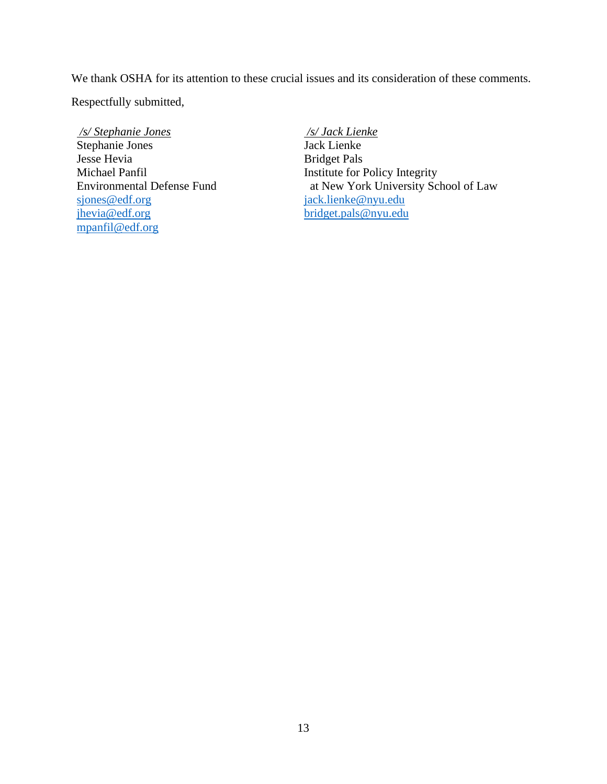We thank OSHA for its attention to these crucial issues and its consideration of these comments.

Respectfully submitted,

*/s/ Stephanie Jones* Stephanie Jones Jesse Hevia Michael Panfil Environmental Defense Fund [sjones@edf.org](mailto:sjones@edf.org) [jhevia@edf.org](mailto:jhevia@edf.org) [mpanfil@edf.org](mailto:mpanfil@edf.org)

*/s/ Jack Lienke* Jack Lienke Bridget Pals Institute for Policy Integrity at New York University School of Law [jack.lienke@nyu.edu](mailto:jack.lienke@nyu.edu) [bridget.pals@nyu.edu](mailto:bridget.pals@nyu.edu)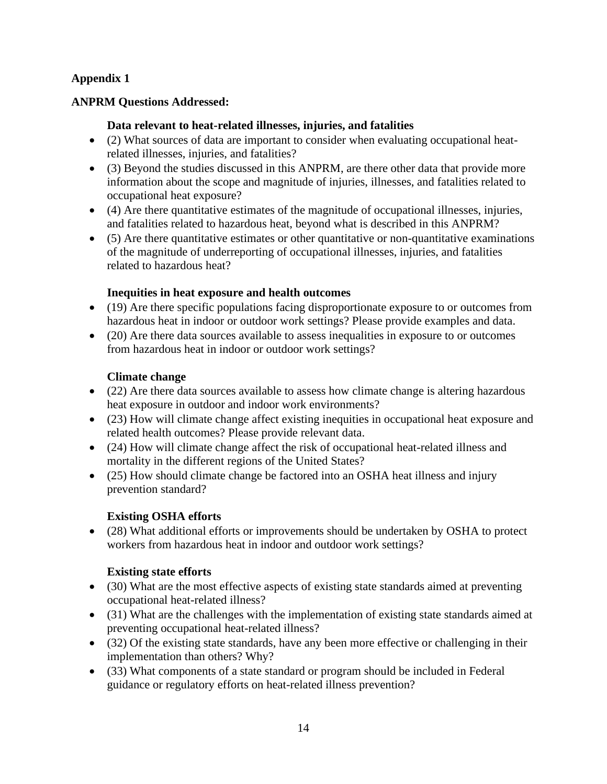## **Appendix 1**

### **ANPRM Questions Addressed:**

## **Data relevant to heat-related illnesses, injuries, and fatalities**

- (2) What sources of data are important to consider when evaluating occupational heatrelated illnesses, injuries, and fatalities?
- (3) Beyond the studies discussed in this ANPRM, are there other data that provide more information about the scope and magnitude of injuries, illnesses, and fatalities related to occupational heat exposure?
- (4) Are there quantitative estimates of the magnitude of occupational illnesses, injuries, and fatalities related to hazardous heat, beyond what is described in this ANPRM?
- (5) Are there quantitative estimates or other quantitative or non-quantitative examinations of the magnitude of underreporting of occupational illnesses, injuries, and fatalities related to hazardous heat?

## **Inequities in heat exposure and health outcomes**

- (19) Are there specific populations facing disproportionate exposure to or outcomes from hazardous heat in indoor or outdoor work settings? Please provide examples and data.
- (20) Are there data sources available to assess inequalities in exposure to or outcomes from hazardous heat in indoor or outdoor work settings?

## **Climate change**

- (22) Are there data sources available to assess how climate change is altering hazardous heat exposure in outdoor and indoor work environments?
- (23) How will climate change affect existing inequities in occupational heat exposure and related health outcomes? Please provide relevant data.
- (24) How will climate change affect the risk of occupational heat-related illness and mortality in the different regions of the United States?
- (25) How should climate change be factored into an OSHA heat illness and injury prevention standard?

# **Existing OSHA efforts**

• (28) What additional efforts or improvements should be undertaken by OSHA to protect workers from hazardous heat in indoor and outdoor work settings?

### **Existing state efforts**

- (30) What are the most effective aspects of existing state standards aimed at preventing occupational heat-related illness?
- (31) What are the challenges with the implementation of existing state standards aimed at preventing occupational heat-related illness?
- (32) Of the existing state standards, have any been more effective or challenging in their implementation than others? Why?
- (33) What components of a state standard or program should be included in Federal guidance or regulatory efforts on heat-related illness prevention?